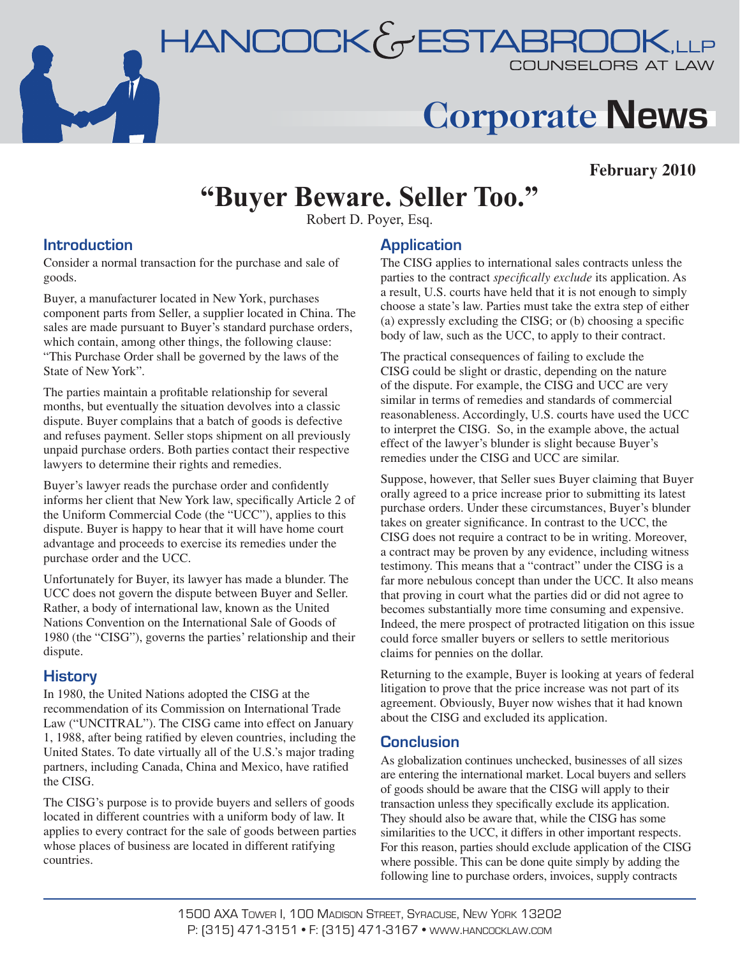

# **Corporate News**

### **February 2010**

## **"Buyer Beware. Seller Too."**

Robert D. Poyer, Esq.

#### **Introduction**

Consider a normal transaction for the purchase and sale of goods.

Buyer, a manufacturer located in New York, purchases component parts from Seller, a supplier located in China. The sales are made pursuant to Buyer's standard purchase orders, which contain, among other things, the following clause: "This Purchase Order shall be governed by the laws of the State of New York".

The parties maintain a profitable relationship for several months, but eventually the situation devolves into a classic dispute. Buyer complains that a batch of goods is defective and refuses payment. Seller stops shipment on all previously unpaid purchase orders. Both parties contact their respective lawyers to determine their rights and remedies.

Buyer's lawyer reads the purchase order and confidently informs her client that New York law, specifically Article 2 of the Uniform Commercial Code (the "UCC"), applies to this dispute. Buyer is happy to hear that it will have home court advantage and proceeds to exercise its remedies under the purchase order and the UCC.

Unfortunately for Buyer, its lawyer has made a blunder. The UCC does not govern the dispute between Buyer and Seller. Rather, a body of international law, known as the United Nations Convention on the International Sale of Goods of 1980 (the "CISG"), governs the parties' relationship and their dispute.

### **History**

In 1980, the United Nations adopted the CISG at the recommendation of its Commission on International Trade Law ("UNCITRAL"). The CISG came into effect on January 1, 1988, after being ratified by eleven countries, including the United States. To date virtually all of the U.S.'s major trading partners, including Canada, China and Mexico, have ratified the CISG.

The CISG's purpose is to provide buyers and sellers of goods located in different countries with a uniform body of law. It applies to every contract for the sale of goods between parties whose places of business are located in different ratifying countries.

### **Application**

The CISG applies to international sales contracts unless the parties to the contract *specifically exclude* its application. As a result, U.S. courts have held that it is not enough to simply choose a state's law. Parties must take the extra step of either (a) expressly excluding the CISG; or (b) choosing a specific body of law, such as the UCC, to apply to their contract.

The practical consequences of failing to exclude the CISG could be slight or drastic, depending on the nature of the dispute. For example, the CISG and UCC are very similar in terms of remedies and standards of commercial reasonableness. Accordingly, U.S. courts have used the UCC to interpret the CISG. So, in the example above, the actual effect of the lawyer's blunder is slight because Buyer's remedies under the CISG and UCC are similar.

Suppose, however, that Seller sues Buyer claiming that Buyer orally agreed to a price increase prior to submitting its latest purchase orders. Under these circumstances, Buyer's blunder takes on greater significance. In contrast to the UCC, the CISG does not require a contract to be in writing. Moreover, a contract may be proven by any evidence, including witness testimony. This means that a "contract" under the CISG is a far more nebulous concept than under the UCC. It also means that proving in court what the parties did or did not agree to becomes substantially more time consuming and expensive. Indeed, the mere prospect of protracted litigation on this issue could force smaller buyers or sellers to settle meritorious claims for pennies on the dollar.

Returning to the example, Buyer is looking at years of federal litigation to prove that the price increase was not part of its agreement. Obviously, Buyer now wishes that it had known about the CISG and excluded its application.

#### **Conclusion**

As globalization continues unchecked, businesses of all sizes are entering the international market. Local buyers and sellers of goods should be aware that the CISG will apply to their transaction unless they specifically exclude its application. They should also be aware that, while the CISG has some similarities to the UCC, it differs in other important respects. For this reason, parties should exclude application of the CISG where possible. This can be done quite simply by adding the following line to purchase orders, invoices, supply contracts